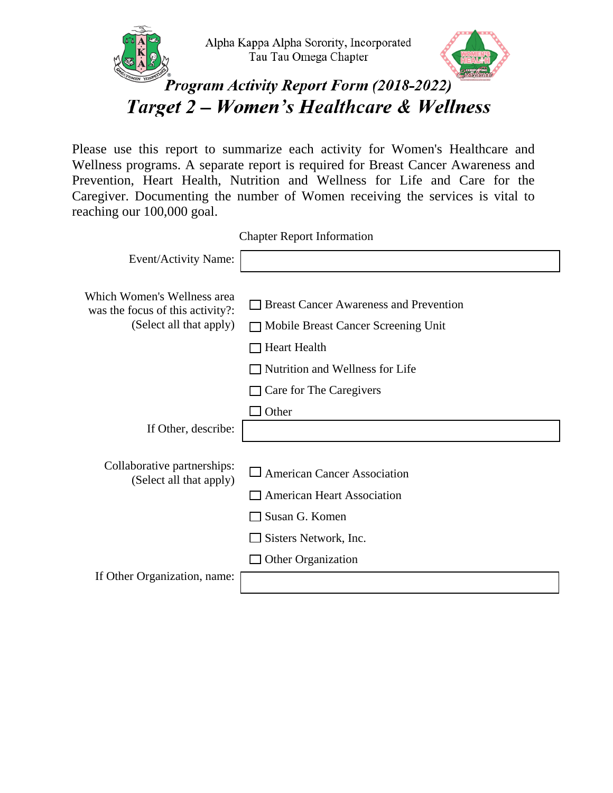

Please use this report to summarize each activity for Women's Healthcare and Wellness programs. A separate report is required for Breast Cancer Awareness and Prevention, Heart Health, Nutrition and Wellness for Life and Care for the Caregiver. Documenting the number of Women receiving the services is vital to reaching our 100,000 goal.

Chapter Report Information

| Event/Activity Name:                                            |                                                                                           |
|-----------------------------------------------------------------|-------------------------------------------------------------------------------------------|
| Which Women's Wellness area<br>was the focus of this activity?: | <b>Breast Cancer Awareness and Prevention</b>                                             |
| (Select all that apply)                                         | □ Mobile Breast Cancer Screening Unit                                                     |
|                                                                 | <b>Heart Health</b>                                                                       |
|                                                                 | Nutrition and Wellness for Life                                                           |
|                                                                 | Care for The Caregivers                                                                   |
|                                                                 | $\Box$ Other                                                                              |
| If Other, describe:                                             |                                                                                           |
| Collaborative partnerships:<br>(Select all that apply)          |                                                                                           |
|                                                                 | $\Box$ American Cancer Association<br><b>American Heart Association</b><br>Susan G. Komen |
|                                                                 | $\Box$ Sisters Network, Inc.                                                              |
|                                                                 | Other Organization                                                                        |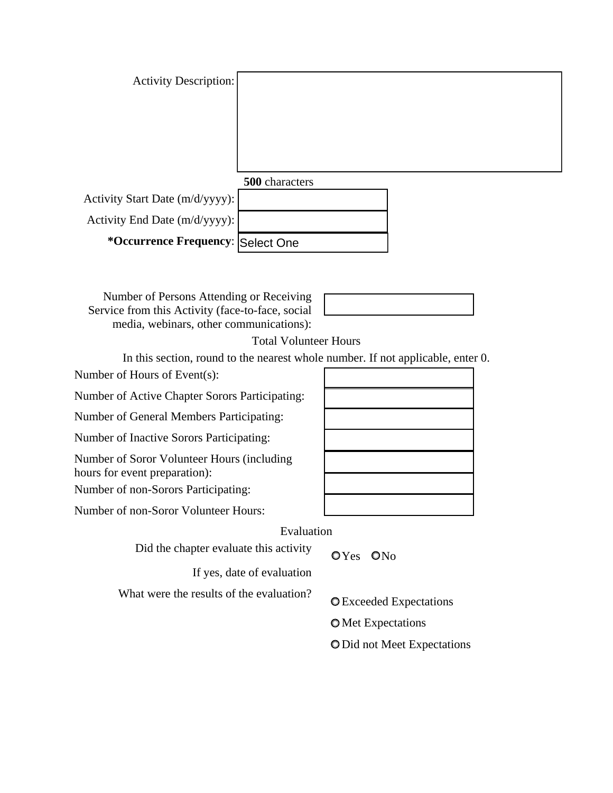| Activity Description:             |                |  |
|-----------------------------------|----------------|--|
|                                   |                |  |
|                                   |                |  |
|                                   |                |  |
|                                   |                |  |
|                                   | 500 characters |  |
| Activity Start Date (m/d/yyyy):   |                |  |
|                                   |                |  |
| Activity End Date (m/d/yyyy):     |                |  |
| *Occurrence Frequency: Select One |                |  |

Number of Persons Attending or Receiving Service from this Activity (face-to-face, social media, webinars, other communications):



Total Volunteer Hours

In this section, round to the nearest whole number. If not applicable, enter 0. Number of Hours of Event(s):

Number of Active Chapter Sorors Participating:

Number of General Members Participating:

Number of Inactive Sorors Participating:

Number of Soror Volunteer Hours (including hours for event preparation):

Number of non-Sorors Participating:

Number of non-Soror Volunteer Hours:

Evaluation

Did the chapter evaluate this activity  $OYes \quad ONo$ 

If yes, date of evaluation

What were the results of the evaluation?  $Q$  Exceeded Expectations

**O** Met Expectations

O Did not Meet Expectations

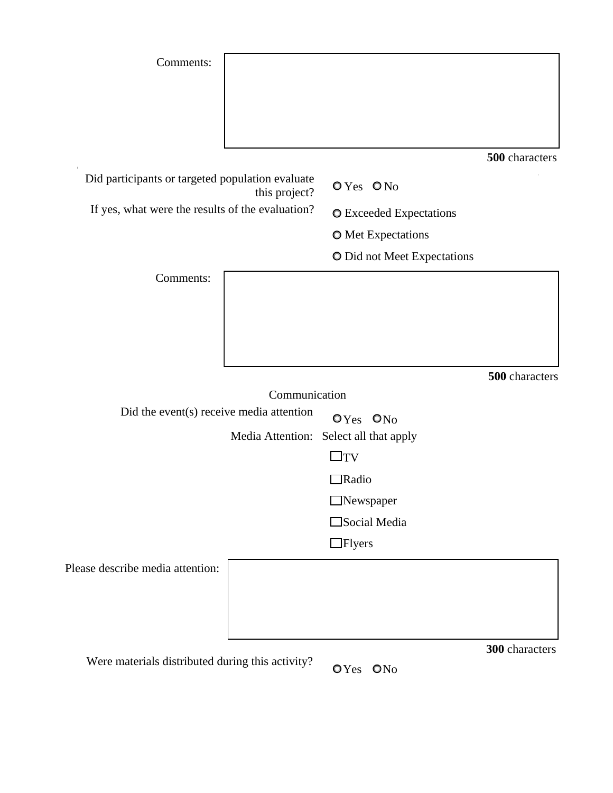| Comments:                                                         |               |                                                                |                |
|-------------------------------------------------------------------|---------------|----------------------------------------------------------------|----------------|
|                                                                   |               |                                                                |                |
|                                                                   |               |                                                                |                |
|                                                                   |               |                                                                | 500 characters |
| Did participants or targeted population evaluate<br>this project? |               | OYes ONo                                                       |                |
| If yes, what were the results of the evaluation?                  |               | <b>O</b> Exceeded Expectations                                 |                |
|                                                                   |               | <b>O</b> Met Expectations                                      |                |
|                                                                   |               | O Did not Meet Expectations                                    |                |
| Comments:                                                         |               |                                                                |                |
|                                                                   |               |                                                                |                |
|                                                                   |               |                                                                |                |
|                                                                   |               |                                                                |                |
|                                                                   |               |                                                                |                |
|                                                                   |               |                                                                |                |
|                                                                   | Communication |                                                                | 500 characters |
| Did the event(s) receive media attention                          |               |                                                                |                |
|                                                                   |               | OYes ON <sub>0</sub><br>Media Attention: Select all that apply |                |
|                                                                   |               | $\square_{\text{TV}}$                                          |                |
|                                                                   |               | <b>]Radio</b>                                                  |                |
|                                                                   |               | Newspaper                                                      |                |
|                                                                   |               | Social Media                                                   |                |
|                                                                   |               | $\Box$ Flyers                                                  |                |
|                                                                   |               |                                                                |                |
|                                                                   |               |                                                                |                |
| Please describe media attention:                                  |               |                                                                |                |
|                                                                   |               |                                                                |                |

Were materials distributed during this activity?  $QY_{\text{es}} QN_0$